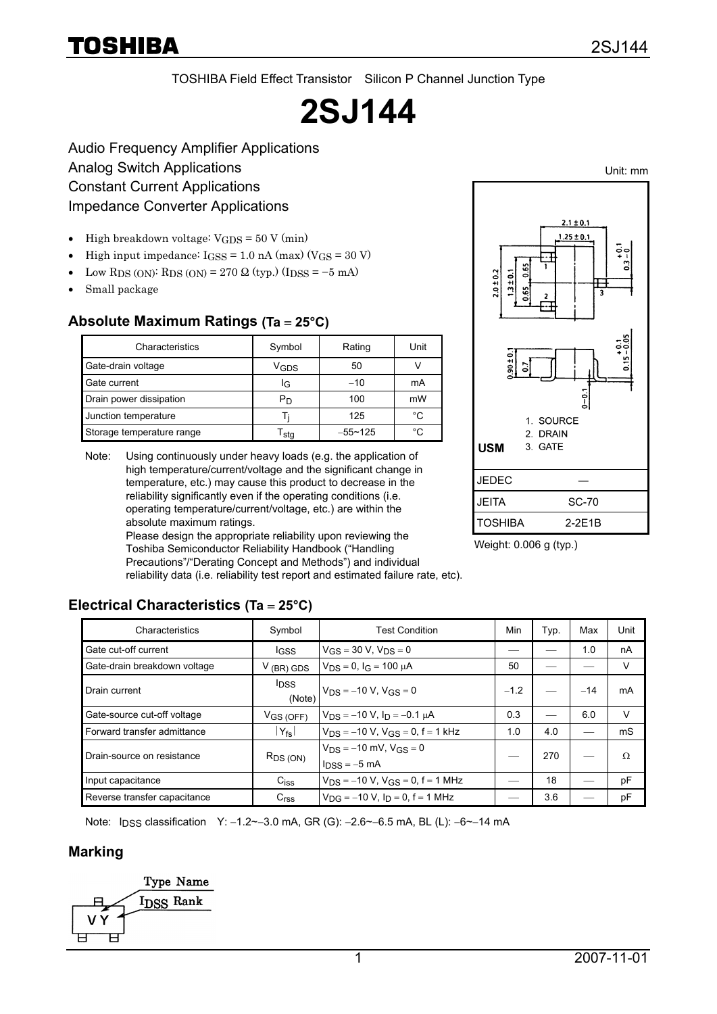# TOSHIBA

Unit: mm

TOSHIBA Field Effect Transistor Silicon P Channel Junction Type

# **2SJ144**

Audio Frequency Amplifier Applications Analog Switch Applications Constant Current Applications Impedance Converter Applications

- High breakdown voltage:  $V_{GDS} = 50 V (min)$
- High input impedance:  $I$ GSS = 1.0 nA (max) ( $V$ GS = 30 V)
- Low RDS (ON): RDS (ON) = 270  $\Omega$  (typ.) (IDSS = -5 mA)
- Small package

## **Absolute Maximum Ratings (Ta** = **25°C)**

| Characteristics           | Symbol | Rating      | Unit |
|---------------------------|--------|-------------|------|
| Gate-drain voltage        | Vgds   | 50          |      |
| Gate current              | lG     | $-10$       | mA   |
| Drain power dissipation   | Рŋ     | 100         | mW   |
| Junction temperature      |        | 125         | °€   |
| Storage temperature range | sta    | $-55 - 125$ | °C   |

Note: Using continuously under heavy loads (e.g. the application of high temperature/current/voltage and the significant change in temperature, etc.) may cause this product to decrease in the reliability significantly even if the operating conditions (i.e. operating temperature/current/voltage, etc.) are within the absolute maximum ratings.

Please design the appropriate reliability upon reviewing the Toshiba Semiconductor Reliability Handbook ("Handling Precautions"/"Derating Concept and Methods") and individual reliability data (i.e. reliability test report and estimated failure rate, etc).



Weight: 0.006 g (typ.)

## **Electrical Characteristics (Ta** = **25°C)**

| Characteristics              | Symbol                 | <b>Test Condition</b>                                               | Min    | Typ. | Max   | Unit |
|------------------------------|------------------------|---------------------------------------------------------------------|--------|------|-------|------|
| Gate cut-off current         | l <sub>GSS</sub>       | $V_{GS} = 30 V, V_{DS} = 0$                                         |        |      | 1.0   | nA   |
| Gate-drain breakdown voltage | $V$ (BR) GDS           | $V_{DS} = 0$ , $I_G = 100 \mu A$                                    | 50     |      |       | v    |
| Drain current                | <b>I</b> DSS<br>(Note) | $V_{DS} = -10 V, V_{GS} = 0$                                        | $-1.2$ |      | $-14$ | mA   |
| Gate-source cut-off voltage  | $V$ GS (OFF)           | $V_{DS} = -10 V$ , $I_D = -0.1 \mu A$                               | 0.3    |      | 6.0   | V    |
| Forward transfer admittance  | $Y_{fs}$               | $V_{DS} = -10 V$ , $V_{GS} = 0$ , $f = 1$ kHz                       | 1.0    | 4.0  |       | mS   |
| Drain-source on resistance   | $R_{DS(ON)}$           | $V_{DS} = -10$ mV, $V_{GS} = 0$<br>$l_{\text{DSS}} = -5 \text{ mA}$ |        | 270  |       | Ω    |
| Input capacitance            | $C_{iss}$              | $V_{DS} = -10 V$ , $V_{GS} = 0$ , f = 1 MHz                         |        | 18   |       | pF   |
| Reverse transfer capacitance | C <sub>rss</sub>       | $V_{\text{DG}} = -10 V$ , $I_{\text{D}} = 0$ , f = 1 MHz            |        | 3.6  |       | pF   |

Note: I<sub>DSS</sub> classification Y: -1.2~-3.0 mA, GR (G): -2.6~-6.5 mA, BL (L): -6~-14 mA

#### **Marking**

Type Name I<sub>DSS</sub> Rank ᄃ

1 2007-11-01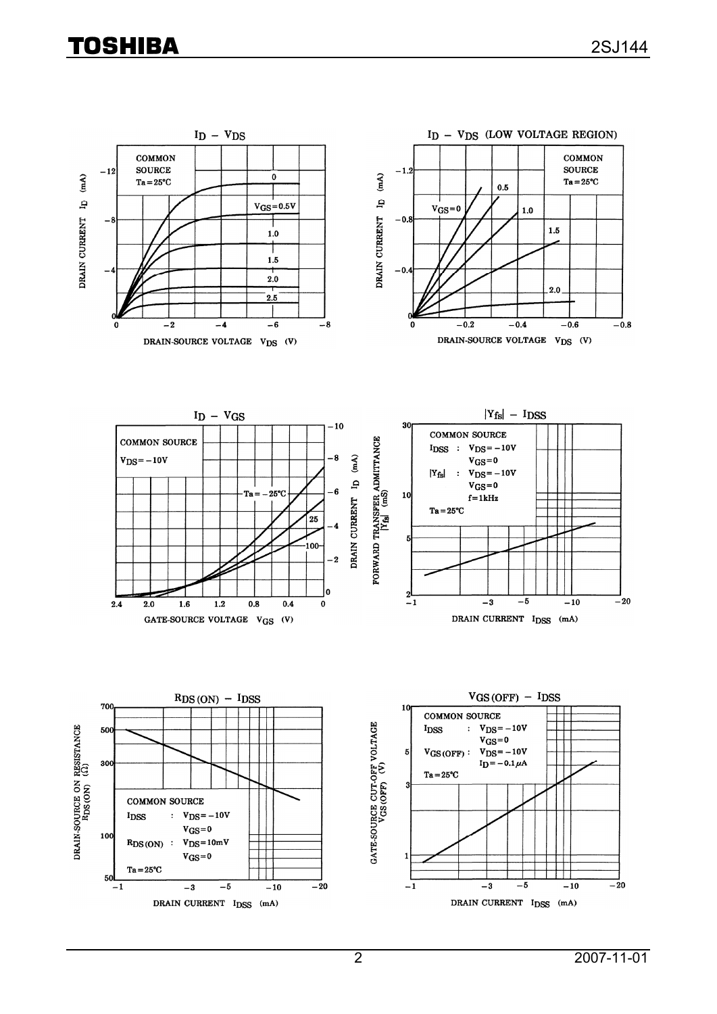# **TOSHIBA**

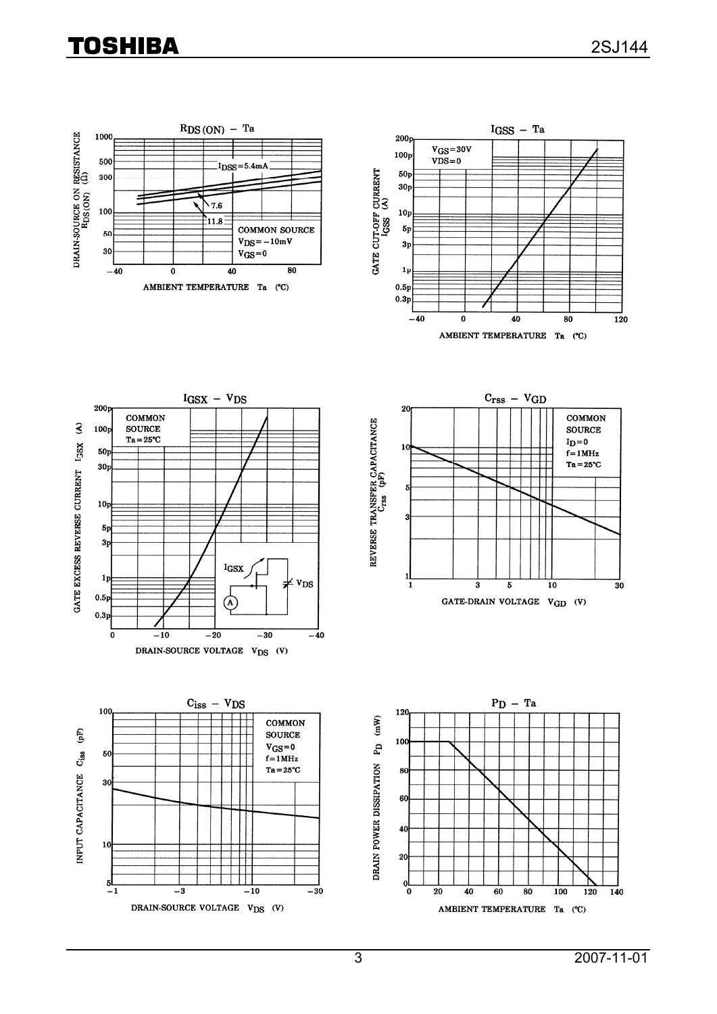# **TOSHIBA**